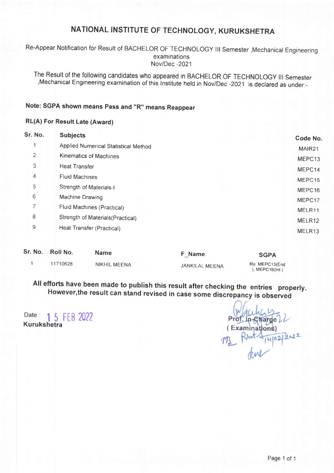Re-Appear Notification for Result of BACHELOR OF TECHNOLOGY lil Semester , Mechanical Engineering examinations Nov/Dec -2021

The Result of the following candidates who appeared in BACHELoR oF TECHNoLoGy ill Semester ,Mechanical Engineering examination of this lnstitute held in Nov/Dec -2021 is declared as under:-

### Note: SGPA shown means Pass and "R" means Reappear

#### RL(A) For Result Late (Award)

| Sr. No. | <b>Subjects</b>                      | Code No.           |
|---------|--------------------------------------|--------------------|
|         | Applied Numerical Statistical Method | MAIR <sub>21</sub> |
| 2       | Kinematics of Machines               | MEPC13             |
| 3       | Heat Transfer                        | MEPC14             |
| 4       | <b>Fluid Machines</b>                | MEPC15             |
| 5       | Strength of Materials-I              | MEPC16             |
| 6       | Machine Drawing                      | MEPC17             |
| 7       | Fluid Machines (Practical)           | MELR11             |
| 8       | Strength of Materials (Practical)    | MELR12             |
| 9       | Heat Transfer (Practical)            | MELR13             |
|         |                                      |                    |

| Sr. No. Roll No. | <b>Name</b>         | F Name         | <b>SGPA</b>                       |
|------------------|---------------------|----------------|-----------------------------------|
| 11710628         | <b>NIKHIL MEENA</b> | JANKILAL MEENA | Re. MEPC13(End<br>$,$ MEPC16(Int) |

All efforts have been made to publish this result after checking the entries properly. However,the result can stand revised in case some discrepancy is observed

Date: 1 5 FFR 2022 Kurukshetra

In-Charge (Examinations)  $9022$  $102$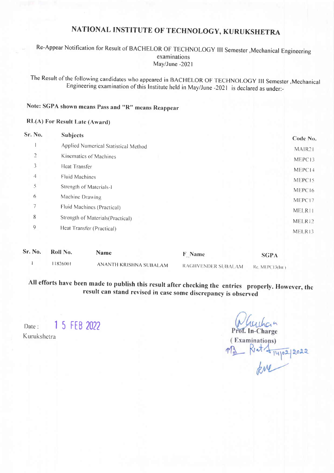#### Re-Appear Notification for Result of BACHELOR OF TECHNOLOGY III Semester , Mechanical Engineering examinations May/June -2021

The Result of the following candidates who appeared in BACHELOR OF TECHNOLOGY III Semester , Mechanical Engineering examination of this Institute held in May/June -2021 is declared as under:-

## Note: SGPA shown means Pass and "R" means Reappear

#### **RL(A) For Result Late (Award)**

| Sr. No.          | <b>Subjects</b>                                            | Code No.    |  |
|------------------|------------------------------------------------------------|-------------|--|
|                  | Applied Numerical Statistical Method                       | MAIR21      |  |
| 2                | Kinematics of Machines                                     | MEPC13      |  |
| 3                | Heat Transfer                                              | MEPC14      |  |
| 4                | Fluid Machines                                             |             |  |
| 5                | Strength of Materials-1                                    |             |  |
| 6                | Machine Drawing                                            |             |  |
| 7                | MEPC17<br>Fluid Machines (Practical)<br>MELR <sub>11</sub> |             |  |
| 8                | Strength of Materials (Practical)<br>MELR12                |             |  |
| $\boldsymbol{9}$ | Heat Transfer (Practical)                                  | MELR13      |  |
| Sr. No.          | Roll No.<br><b>Name</b><br><b>F</b> Name                   | <b>SGPA</b> |  |

 $\mathbf{I}$ 11826001 ANANTH KRISHNA SUBALAM RAGHVENDER SUBALAM

Re. MEPC13(Int.)

All efforts have been made to publish this result after checking the entries properly. However, the result can stand revised in case some discrepancy is observed

1 5 FEB 2022 Date · Kurukshetra

Prof. In-Charge

(Examinations) M3 Rut + 14/02/2022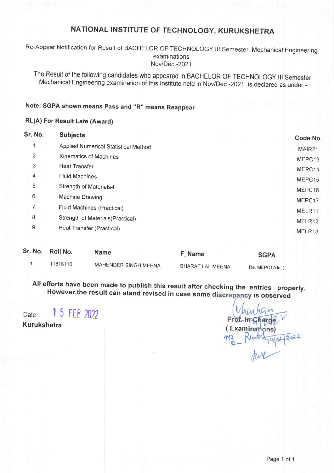Re-Appear Notification for Result of BACHELoR oF TECHNoLoGy lll semester ,Mechanical Engineering examinations Nov/Dec -2021

The Result of the following candidates who appeared in BACHELoR oF TECHNoLoGy lil Semester ,Mechanical Engineering examination of this lnstitute held in Nov/Dec -2021 is declared as under:-

## Note: SGPA shown means Pass and "R" means Reappear

#### RL(A) For Result Late (Award)

|                                      | Code No.                                                       |
|--------------------------------------|----------------------------------------------------------------|
| Applied Numerical Statistical Method | MAIR <sub>21</sub>                                             |
| Kinematics of Machines               | MEPC13                                                         |
| <b>Heat Transfer</b>                 | MEPC14                                                         |
| <b>Fluid Machines</b>                | MEPC15                                                         |
| <b>Strength of Materials-I</b>       | MEPC16                                                         |
| Machine Drawing                      | MEPC17                                                         |
| <b>Fluid Machines (Practical)</b>    | MELR11                                                         |
|                                      | MELR12                                                         |
|                                      | MELR13                                                         |
|                                      | Strength of Materials (Practical)<br>Heat Transfer (Practical) |

| Sr. No. Roll No. | <b>Name</b>          | F Name           | <b>SGPA</b>     |
|------------------|----------------------|------------------|-----------------|
| 11816110         | MAHENDER SINGH MEENA | BHARAT LAL MEENA | Re. MEPC17(int) |

All efforts have been made to publish this result after checking the entries properly. However, the result can stand revised in case some discrepancy is observed

Date : I 55 FEB <sup>2022</sup>

Kurukshetra

Prof. In Charge  $\begin{array}{c} \text{(Examinations)}\\ \text{(Examinations)}\\ \text{(Exminations)}\\ \text{(Exminations)}\\ \text{(Exminations)}\\ \text{(Exminations)}\\ \text{(Exminations)}\\ \text{(Exminations)}\\ \text{(Exminations)}\\ \text{(Exminations)}\\ \text{(Exminations)}\\ \text{(Exminations)}\\ \text{(Exminations)}\\ \text{(Exminations)}\\ \text{(Exminations)}\\ \text{(Exminations)}\\ \text{(Exminations)}\\ \text{(Exminations)}\\ \text{(Exminations)}\\ \text{(Exminations)}\\ \text{(Exminations)}\\ \text{(Exminations)}\\ \text{(Exminations)}\\ \text{(Exminations)}\\ \text{(Exminations)}\\ \text{(Exminations)}\\ \text{(Exmin$